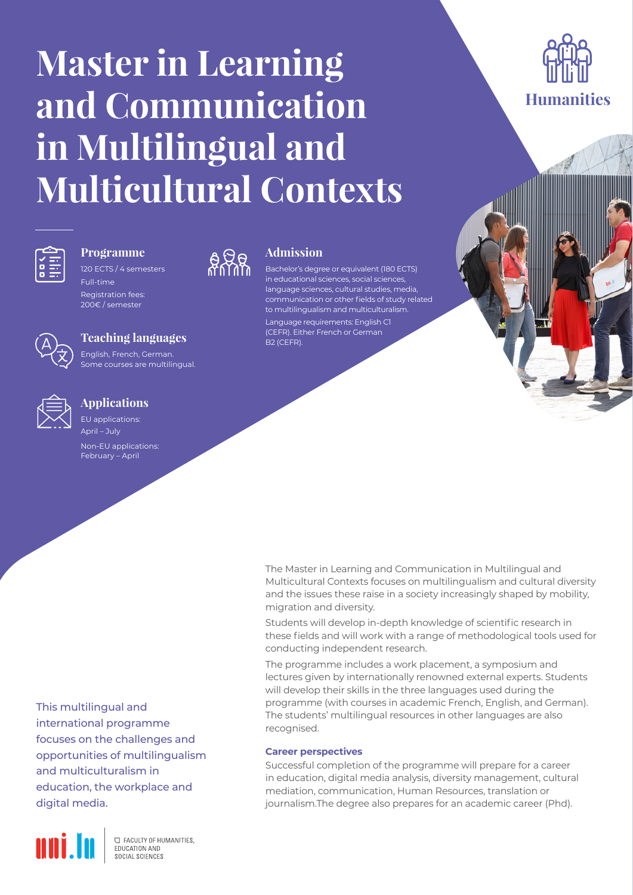# **Master in Learning and Communication in Multilingual and Multicultural Contexts**



## **Programme**

120 ECTS / 4 semesters Full-time

Registration fees: 200€ / semester



English, French, German. Some courses are multilingual.



### **Applications**

EU applications: April – July

Non-EU applications: February – April



## **Admission**

Bachelor's degree or equivalent (180 ECTS) in educational sciences, social sciences, language sciences, cultural studies, media, communication or other fields of study related to multilingualism and multiculturalism. Language requirements: English C1 (CEFR). Either French or German B2 (CEFR).

The Master in Learning and Communication in Multilingual and Multicultural Contexts focuses on multilingualism and cultural diversity and the issues these raise in a society increasingly shaped by mobility, migration and diversity.

Students will develop in-depth knowledge of scientific research in these fields and will work with a range of methodological tools used for conducting independent research.

The programme includes a work placement, a symposium and lectures given by internationally renowned external experts. Students will develop their skills in the three languages used during the programme (with courses in academic French, English, and German). The students' multilingual resources in other languages are also recognised.

#### **Career perspectives**

Successful completion of the programme will prepare for a career in education, digital media analysis, diversity management, cultural mediation, communication, Human Resources, translation or journalism.The degree also prepares for an academic career (Phd).

This multilingual and international programme focuses on the challenges and opportunities of multilingualism and multiculturalism in education, the workplace and digital media.



**C FACULTY OF HUMANITIES.** EDUCATION AND SOCIAL SCIENCES

**Humanities**